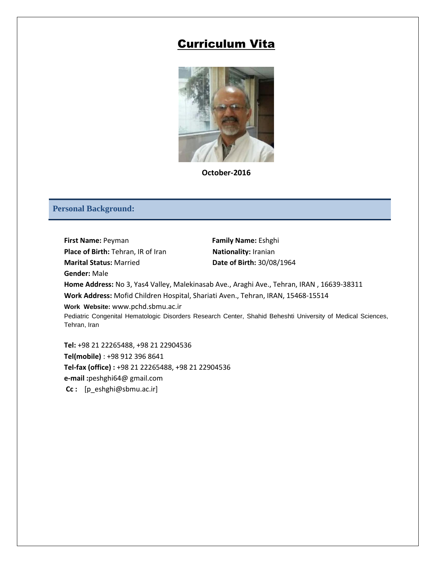# Curriculum Vita



**October-2016**

#### **Personal Background:**

**First Name:** Peyman **Family Name:** Eshghi **Place of Birth:** Tehran, IR of Iran **Nationality:** Iranian **Marital Status:** Married **Date of Birth:** 30/08/1964 **Gender:** Male **Home Address:** No 3, Yas4 Valley, Malekinasab Ave., Araghi Ave., Tehran, IRAN , 16639-38311 **Work Address:** Mofid Children Hospital, Shariati Aven., Tehran, IRAN, 15468-15514 **Work Website:** www.pchd.sbmu.ac.ir Pediatric Congenital Hematologic Disorders Research Center, Shahid Beheshti University of Medical Sciences, Tehran, Iran **Tel:** +98 21 22265488, +98 21 22904536

**Tel(mobile)** : +98 912 396 8641 **Tel-fax (office) :** +98 21 22265488, +98 21 22904536 **e-mail :**peshghi64@ gmail.com **Cc :** [p\_eshghi@sbmu.ac.ir]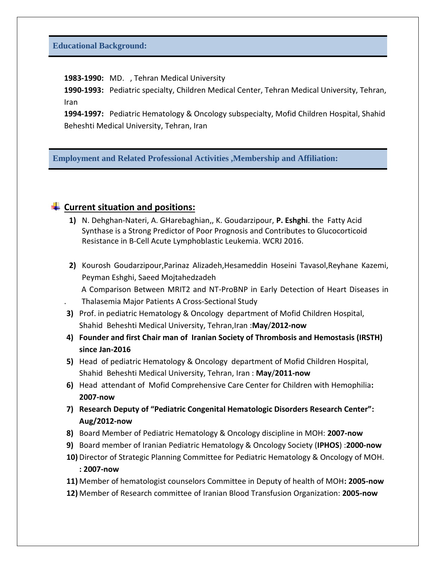**1983-1990:** MD., Tehran Medical University

**1990-1993:** Pediatric specialty, Children Medical Center, Tehran Medical University, Tehran, Iran

**1994-1997:** Pediatric Hematology & Oncology subspecialty, Mofid Children Hospital, Shahid Beheshti Medical University, Tehran, Iran

**Employment and Related Professional Activities ,Membership and Affiliation:**

#### **Current situation and positions:**

- **1)** N. Dehghan-Nateri, A. GHarebaghian,, K. Goudarzipour, **P. Eshghi**. the Fatty Acid Synthase is a Strong Predictor of Poor Prognosis and Contributes to Glucocorticoid Resistance in B-Cell Acute Lymphoblastic Leukemia. WCRJ 2016.
- **2)** Kourosh Goudarzipour,Parinaz Alizadeh,Hesameddin Hoseini Tavasol,Reyhane Kazemi, Peyman Eshghi, Saeed Mojtahedzadeh A Comparison Between MRIT2 and NT-ProBNP in Early Detection of Heart Diseases in . Thalasemia Major Patients A Cross-Sectional Study
- **3)** Prof. in pediatric Hematology & Oncology department of Mofid Children Hospital, Shahid Beheshti Medical University, Tehran,Iran :**May**/**2012-now**
- **4) Founder and first Chair man of Iranian Society of Thrombosis and Hemostasis (IRSTH) since Jan-2016**
- **5)** Head of pediatric Hematology & Oncology department of Mofid Children Hospital, Shahid Beheshti Medical University, Tehran, Iran : **May**/**2011-now**
- **6)** Head attendant of Mofid Comprehensive Care Center for Children with Hemophilia**: 2007-now**
- **7) Research Deputy of "Pediatric Congenital Hematologic Disorders Research Center": Aug/2012-now**
- **8)** Board Member of Pediatric Hematology & Oncology discipline in MOH: **2007-now**
- **9)** Board member of Iranian Pediatric Hematology & Oncology Society (**IPHOS**) :**2000-now**
- **10)** Director of Strategic Planning Committee for Pediatric Hematology & Oncology of MOH. **: 2007-now**
- **11)** Member of hematologist counselors Committee in Deputy of health of MOH**: 2005-now**
- **12)** Member of Research committee of Iranian Blood Transfusion Organization: **2005-now**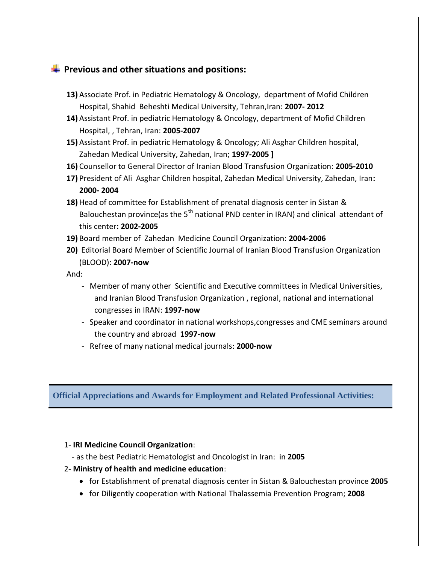# **Previous and other situations and positions:**

- **13)** Associate Prof. in Pediatric Hematology & Oncology, department of Mofid Children Hospital, Shahid Beheshti Medical University, Tehran,Iran: **2007- 2012**
- **14)** Assistant Prof. in pediatric Hematology & Oncology, department of Mofid Children Hospital, , Tehran, Iran: **2005-2007**
- **15)** Assistant Prof. in pediatric Hematology & Oncology; Ali Asghar Children hospital, Zahedan Medical University, Zahedan, Iran; **1997-2005 ]**
- **16)** Counsellor to General Director of Iranian Blood Transfusion Organization: **2005-2010**
- **17)** President of Ali Asghar Children hospital, Zahedan Medical University, Zahedan, Iran**: 2000- 2004**
- **18)** Head of committee for Establishment of prenatal diagnosis center in Sistan & Balouchestan province(as the  $5<sup>th</sup>$  national PND center in IRAN) and clinical attendant of this center**: 2002-2005**
- **19)** Board member of Zahedan Medicine Council Organization: **2004-2006**
- **20)** Editorial Board Member of Scientific Journal of Iranian Blood Transfusion Organization (BLOOD): **2007-now**

And:

- Member of many other Scientific and Executive committees in Medical Universities, and Iranian Blood Transfusion Organization , regional, national and international congresses in IRAN: **1997-now**
- Speaker and coordinator in national workshops,congresses and CME seminars around the country and abroad **1997-now**
- Refree of many national medical journals: **2000-now**

**Official Appreciations and Awards for Employment and Related Professional Activities:**

#### 1- **IRI Medicine Council Organization**:

- as the best Pediatric Hematologist and Oncologist in Iran: in **2005**

#### 2**- Ministry of health and medicine education**:

- for Establishment of prenatal diagnosis center in Sistan & Balouchestan province **2005**
- for Diligently cooperation with National Thalassemia Prevention Program; **2008**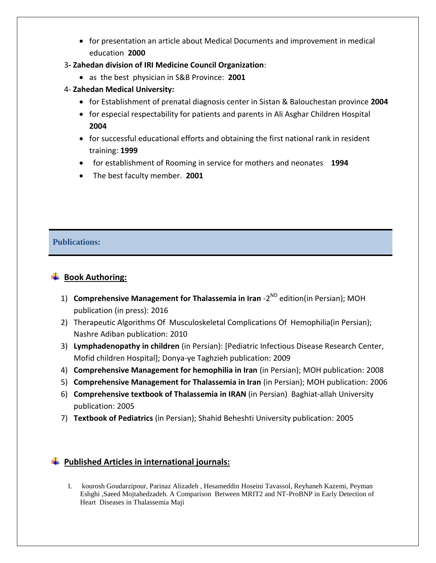- for presentation an article about Medical Documents and improvement in medical education **2000**
- 3**- Zahedan division of IRI Medicine Council Organization**:
	- as the best physician in S&B Province: **2001**
- 4- **Zahedan Medical University:**
	- for Establishment of prenatal diagnosis center in Sistan & Balouchestan province **2004**
	- for especial respectability for patients and parents in Ali Asghar Children Hospital **2004**
	- for successful educational efforts and obtaining the first national rank in resident training: **1999**
	- for establishment of Rooming in service for mothers and neonates **1994**
	- The best faculty member. **2001**

### **Publications:**

## **Book Authoring:**

- 1) **Comprehensive Management for Thalassemia in Iran** -2<sup>ND</sup> edition(in Persian); MOH publication (in press): 2016
- 2) Therapeutic Algorithms Of Musculoskeletal Complications Of Hemophilia(in Persian); Nashre Adiban publication: 2010
- 3) **Lymphadenopathy in children** (in Persian): [Pediatric Infectious Disease Research Center, Mofid children Hospital]; Donya-ye Taghzieh publication: 2009
- 4) **Comprehensive Management for hemophilia in Iran** (in Persian); MOH publication: 2008
- 5) **Comprehensive Management for Thalassemia in Iran** (in Persian); MOH publication: 2006
- 6) **Comprehensive textbook of Thalassemia in IRAN** (in Persian) Baghiat-allah University publication: 2005
- 7) **Textbook of Pediatrics** (in Persian); Shahid Beheshti University publication: 2005

### **Published Articles in international journals:**

1. kourosh Goudarzipour, Parinaz Alizadeh , Hesameddin Hoseini Tavassol, Reyhaneh Kazemi, Peyman Eshghi ,Saeed Mojtahedzadeh. A Comparison Between MRIT2 and NT-ProBNP in Early Detection of Heart Diseases in Thalassemia Maji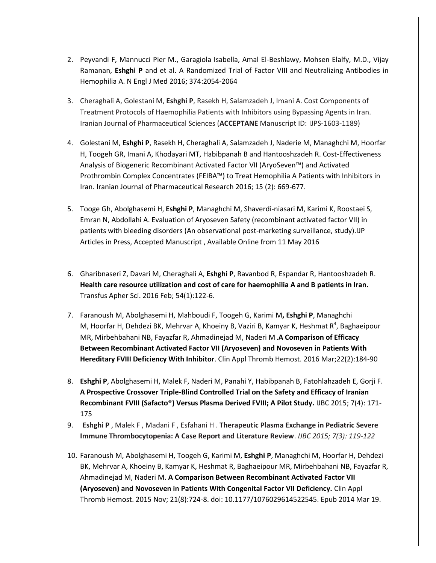- 2. Peyvandi F, Mannucci Pier M., Garagiola Isabella, Amal El-Beshlawy, Mohsen Elalfy, M.D., Vijay Ramanan, **Eshghi P** and et al. A Randomized Trial of Factor VIII and Neutralizing Antibodies in Hemophilia A. N Engl J Med 2016; 374:2054-2064
- 3. Cheraghali A, Golestani M, **Eshghi P**, Rasekh H, Salamzadeh J, Imani A. Cost Components of Treatment Protocols of Haemophilia Patients with Inhibitors using Bypassing Agents in Iran. Iranian Journal of Pharmaceutical Sciences (**ACCEPTANE** Manuscript ID: IJPS-1603-1189)
- 4. Golestani M, **Eshghi P**, Rasekh H, Cheraghali A, Salamzadeh J, Naderie M, Managhchi M, Hoorfar H, Toogeh GR, Imani A, Khodayari MT, Habibpanah B and Hantooshzadeh R. Cost-Effectiveness Analysis of Biogeneric Recombinant Activated Factor VII (AryoSeven™) and Activated Prothrombin Complex Concentrates (FEIBA™) to Treat Hemophilia A Patients with Inhibitors in Iran. Iranian Journal of Pharmaceutical Research 2016; 15 (2): 669-677.
- 5. Tooge Gh, Abolghasemi H, **Eshghi P**, Managhchi M, Shaverdi-niasari M, Karimi K, Roostaei S, Emran N, Abdollahi A. Evaluation of Aryoseven Safety (recombinant activated factor VII) in patients with bleeding disorders (An observational post-marketing surveillance, study).IJP [Articles in Press,](http://www.ijp.iranpath.org/?_action=press&issue=-1&_is=Articles%20in%20Press) Accepted Manuscript , Available Online from 11 May 2016
- 6. [Gharibnaseri Z,](http://www.ncbi.nlm.nih.gov/pubmed/?term=Gharibnaseri%20Z%5BAuthor%5D&cauthor=true&cauthor_uid=26847868) [Davari M,](http://www.ncbi.nlm.nih.gov/pubmed/?term=Davari%20M%5BAuthor%5D&cauthor=true&cauthor_uid=26847868) [Cheraghali A,](http://www.ncbi.nlm.nih.gov/pubmed/?term=Cheraghali%20A%5BAuthor%5D&cauthor=true&cauthor_uid=26847868) **[Eshghi P](http://www.ncbi.nlm.nih.gov/pubmed/?term=Eshghi%20P%5BAuthor%5D&cauthor=true&cauthor_uid=26847868)**, [Ravanbod R,](http://www.ncbi.nlm.nih.gov/pubmed/?term=Ravanbod%20R%5BAuthor%5D&cauthor=true&cauthor_uid=26847868) [Espandar R,](http://www.ncbi.nlm.nih.gov/pubmed/?term=Espandar%20R%5BAuthor%5D&cauthor=true&cauthor_uid=26847868) [Hantooshzadeh R.](http://www.ncbi.nlm.nih.gov/pubmed/?term=Hantooshzadeh%20R%5BAuthor%5D&cauthor=true&cauthor_uid=26847868) **Health care resource utilization and cost of care for haemophilia A and B patients in Iran.** [Transfus Apher Sci.](http://www.ncbi.nlm.nih.gov/pubmed/26847868) 2016 Feb; 54(1):122-6.
- 7. [Faranoush M,](http://www.ncbi.nlm.nih.gov/pubmed/?term=Faranoush%20M%5BAuthor%5D&cauthor=true&cauthor_uid=25343955) [Abolghasemi H,](http://www.ncbi.nlm.nih.gov/pubmed/?term=Abolghasemi%20H%5BAuthor%5D&cauthor=true&cauthor_uid=25343955) [Mahboudi F,](http://www.ncbi.nlm.nih.gov/pubmed/?term=Mahboudi%20F%5BAuthor%5D&cauthor=true&cauthor_uid=25343955) [Toogeh G,](http://www.ncbi.nlm.nih.gov/pubmed/?term=Toogeh%20G%5BAuthor%5D&cauthor=true&cauthor_uid=25343955) [Karimi M](http://www.ncbi.nlm.nih.gov/pubmed/?term=Karimi%20M%5BAuthor%5D&cauthor=true&cauthor_uid=25343955)**, [Eshghi P](http://www.ncbi.nlm.nih.gov/pubmed/?term=Eshghi%20P%5BAuthor%5D&cauthor=true&cauthor_uid=25343955)**, [Managhchi](http://www.ncbi.nlm.nih.gov/pubmed/?term=Managhchi%20M%5BAuthor%5D&cauthor=true&cauthor_uid=25343955)  [M,](http://www.ncbi.nlm.nih.gov/pubmed/?term=Managhchi%20M%5BAuthor%5D&cauthor=true&cauthor_uid=25343955) [Hoorfar H,](http://www.ncbi.nlm.nih.gov/pubmed/?term=Hoorfar%20H%5BAuthor%5D&cauthor=true&cauthor_uid=25343955) [Dehdezi BK,](http://www.ncbi.nlm.nih.gov/pubmed/?term=Dehdezi%20BK%5BAuthor%5D&cauthor=true&cauthor_uid=25343955) [Mehrvar A,](http://www.ncbi.nlm.nih.gov/pubmed/?term=Mehrvar%20A%5BAuthor%5D&cauthor=true&cauthor_uid=25343955) [Khoeiny B,](http://www.ncbi.nlm.nih.gov/pubmed/?term=Khoeiny%20B%5BAuthor%5D&cauthor=true&cauthor_uid=25343955) [Vaziri B,](http://www.ncbi.nlm.nih.gov/pubmed/?term=Vaziri%20B%5BAuthor%5D&cauthor=true&cauthor_uid=25343955) [Kamyar K,](http://www.ncbi.nlm.nih.gov/pubmed/?term=Kamyar%20K%5BAuthor%5D&cauthor=true&cauthor_uid=25343955) [Heshmat R](http://www.ncbi.nlm.nih.gov/pubmed/?term=Heshmat%20R%5BAuthor%5D&cauthor=true&cauthor_uid=25343955)<sup>4</sup>, Baghaeipour [MR,](http://www.ncbi.nlm.nih.gov/pubmed/?term=Baghaeipour%20MR%5BAuthor%5D&cauthor=true&cauthor_uid=25343955) [Mirbehbahani NB,](http://www.ncbi.nlm.nih.gov/pubmed/?term=Mirbehbahani%20NB%5BAuthor%5D&cauthor=true&cauthor_uid=25343955) [Fayazfar R,](http://www.ncbi.nlm.nih.gov/pubmed/?term=Fayazfar%20R%5BAuthor%5D&cauthor=true&cauthor_uid=25343955) [Ahmadinejad M,](http://www.ncbi.nlm.nih.gov/pubmed/?term=Ahmadinejad%20M%5BAuthor%5D&cauthor=true&cauthor_uid=25343955) [Naderi M](http://www.ncbi.nlm.nih.gov/pubmed/?term=Naderi%20M%5BAuthor%5D&cauthor=true&cauthor_uid=25343955) .**A Comparison of Efficacy Between Recombinant Activated Factor VII (Aryoseven) and Novoseven in Patients With Hereditary FVIII Deficiency With Inhibitor**. [Clin Appl Thromb Hemost.](http://www.ncbi.nlm.nih.gov/pubmed/25343955) 2016 Mar;22(2):184-90
- 8. **Eshghi P**, Abolghasemi H, Malek F, Naderi M, Panahi Y, Habibpanah B, Fatohlahzadeh E, Gorji F. **A Prospective Crossover Triple-Blind Controlled Trial on the Safety and Efficacy of Iranian Recombinant FVIII (Safacto**®**) Versus Plasma Derived FVIII; A Pilot Study.** IJBC 2015; 7(4): 171- 175
- 9. **Eshghi P** , Malek F , Madani F , Esfahani H . **Therapeutic Plasma Exchange in Pediatric Severe Immune Thrombocytopenia: A Case Report and Literature Review**. *IJBC 2015; 7(3): 119-122*
- 10. Faranoush M, Abolghasemi H, Toogeh G, Karimi M, **Eshghi P**, Managhchi M, Hoorfar H, Dehdezi BK, Mehrvar A, Khoeiny B, Kamyar K, Heshmat R, Baghaeipour MR, Mirbehbahani NB, Fayazfar R, Ahmadinejad M, Naderi M. **[A Comparison Between Recombinant Activated Factor VII](http://www.ncbi.nlm.nih.gov/pubmed/24651301)  [\(Aryoseven\) and Novoseven in Patients With Congenital Factor VII Deficiency.](http://www.ncbi.nlm.nih.gov/pubmed/24651301)** [Clin Appl](http://www.ncbi.nlm.nih.gov/pubmed/24651301)  [Thromb Hemost.](http://www.ncbi.nlm.nih.gov/pubmed/24651301) 2015 Nov; 21(8):724-8. doi: 10.1177/1076029614522545. Epub 2014 Mar 19.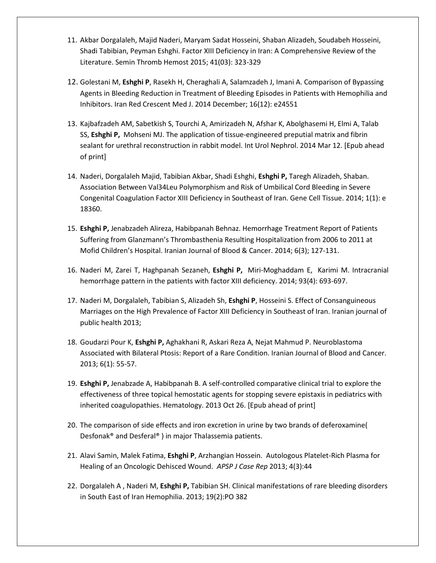- 11. Akbar Dorgalaleh, Majid Naderi, Maryam Sadat Hosseini, Shaban Alizadeh, Soudabeh Hosseini, Shadi Tabibian, Peyman Eshghi. Factor XIII Deficiency in Iran: A Comprehensive Review of the Literature. Semin Thromb Hemost 2015; 41(03): 323-329
- 12. Golestani M, **Eshghi P**, Rasekh H, Cheraghali A, Salamzadeh J, Imani A. Comparison of Bypassing Agents in Bleeding Reduction in Treatment of Bleeding Episodes in Patients with Hemophilia and Inhibitors. Iran Red Crescent Med J. 2014 December; 16(12): e24551
- 13. Kajbafzadeh AM, Sabetkish S, Tourchi A, Amirizadeh N, Afshar K, Abolghasemi H, Elmi A, Talab SS, **Eshghi P,** Mohseni MJ. [The application of tissue-engineered preputial matrix and fibrin](http://www.ncbi.nlm.nih.gov/pubmed/24619583)  [sealant for urethral reconstruction in rabbit model.](http://www.ncbi.nlm.nih.gov/pubmed/24619583) Int Urol Nephrol. 2014 Mar 12. [Epub ahead of print]
- 14. Naderi, Dorgalaleh Majid, Tabibian Akbar, Shadi Eshghi, **Eshghi P,** Taregh Alizadeh, Shaban. Association Between Val34Leu Polymorphism and Risk of Umbilical Cord Bleeding in Severe Congenital Coagulation Factor XIII Deficiency in Southeast of Iran. Gene Cell Tissue. 2014; 1(1): e 18360.
- 15. **Eshghi P,** Jenabzadeh Alireza, Habibpanah Behnaz. Hemorrhage Treatment Report of Patients Suffering from Glanzmann's Thrombasthenia Resulting Hospitalization from 2006 to 2011 at Mofid Children's Hospital. Iranian Journal of Blood & Cancer. 2014; 6(3); 127-131.
- 16. [Naderi](https://www.researchgate.net/researcher/59214891_Majid_Naderi/) M, [Zarei](https://www.researchgate.net/researcher/2033067389_Tahereh_Zarei/) T, [Haghpanah](https://www.researchgate.net/researcher/38867099_Sezaneh_Haghpanah/) Sezaneh, **Eshghi P,** [Miri-Moghaddam](https://www.researchgate.net/researcher/29344716_Ebrahim_Miri-Moghaddam/) E, [Karimi](https://www.researchgate.net/researcher/75405602_Mehran_Karimi/) M. Intracranial hemorrhage pattern in the patients with factor XIII deficiency. 2014; 93(4): 693-697.
- 17. Naderi M, Dorgalaleh, Tabibian S, Alizadeh Sh, **Eshghi P**, Hosseini S. Effect of Consanguineous Marriages on the High Prevalence of Factor XIII Deficiency in Southeast of Iran. Iranian journal of public health 2013;
- 18. Goudarzi Pour K, **Eshghi P,** Aghakhani R, Askari Reza A, Nejat Mahmud P. Neuroblastoma Associated with Bilateral Ptosis: Report of a Rare Condition. Iranian Journal of Blood and Cancer. 2013; 6(1): 55-57.
- 19. **[Eshghi P,](http://www.ncbi.nlm.nih.gov/pubmed?term=Eshghi%20P%5BAuthor%5D&cauthor=true&cauthor_uid=24164872)** [Jenabzade A,](http://www.ncbi.nlm.nih.gov/pubmed?term=Jenabzade%20A%5BAuthor%5D&cauthor=true&cauthor_uid=24164872) [Habibpanah B.](http://www.ncbi.nlm.nih.gov/pubmed?term=Habibpanah%20B%5BAuthor%5D&cauthor=true&cauthor_uid=24164872) A self-controlled comparative clinical trial to explore the effectiveness of three topical hemostatic agents for stopping severe epistaxis in pediatrics with inherited coagulopathies. [Hematology.](http://www.ncbi.nlm.nih.gov/pubmed/24164872) 2013 Oct 26. [Epub ahead of print]
- 20. The comparison of side effects and iron excretion in urine by two brands of deferoxamine( Desfonak® and Desferal® ) in major Thalassemia patients.
- 21. Alavi Samin, Malek Fatima, **Eshghi P**, Arzhangian Hossein. Autologous Platelet-Rich Plasma for Healing of an Oncologic Dehisced Wound. *APSP J Case Rep* 2013; 4(3):44
- 22. Dorgalale[h A ,](https://www.researchgate.net/researcher/2012924081_Akbar_Dorgalaleh/) [Naderi](https://www.researchgate.net/researcher/2003885610_M_Naderi/) M, **Eshghi P,** Tabibian SH. [Clinical manifestations of rare bleeding disorders](https://www.researchgate.net/publication/255991527_Clinical_manifestations_of_rare_bleeding_disorders_in_South_East_of_Iran?ev=prf_pub)  [in South East of Iran H](https://www.researchgate.net/publication/255991527_Clinical_manifestations_of_rare_bleeding_disorders_in_South_East_of_Iran?ev=prf_pub)emophilia. 2013; 19(2):PO 382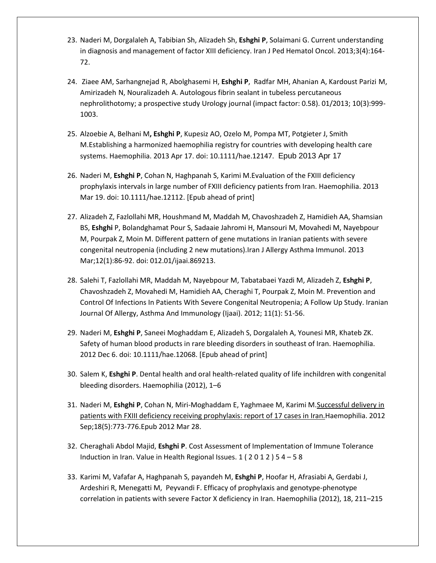- 23. [Naderi M,](http://www.ncbi.nlm.nih.gov/pubmed?term=Naderi%20M%5BAuthor%5D&cauthor=true&cauthor_uid=24575291) [Dorgalaleh A,](http://www.ncbi.nlm.nih.gov/pubmed?term=Dorgalaleh%20A%5BAuthor%5D&cauthor=true&cauthor_uid=24575291) [Tabibian Sh,](http://www.ncbi.nlm.nih.gov/pubmed?term=Tabibian%20Sh%5BAuthor%5D&cauthor=true&cauthor_uid=24575291) [Alizadeh Sh,](http://www.ncbi.nlm.nih.gov/pubmed?term=Alizadeh%20Sh%5BAuthor%5D&cauthor=true&cauthor_uid=24575291) **[Eshghi P](http://www.ncbi.nlm.nih.gov/pubmed?term=Eshghi%20P%5BAuthor%5D&cauthor=true&cauthor_uid=24575291)**[, Solaimani G.](http://www.ncbi.nlm.nih.gov/pubmed?term=Solaimani%20G%5BAuthor%5D&cauthor=true&cauthor_uid=24575291) Current understanding in diagnosis and management of factor XIII deficiency. [Iran J Ped Hematol Oncol.](http://www.ncbi.nlm.nih.gov/pubmed/24575291) 2013;3(4):164- 72.
- 24. [Ziaee](https://www.researchgate.net/researcher/35324147_Seyyed_Amir_Mohsen_Ziaee/) AM[, Sarhangnejad](https://www.researchgate.net/researcher/15335646_Reza_Sarhangnejad/) R, [Abolghasemi](https://www.researchgate.net/researcher/37949741_Hassan_Abolghasemi/) H, **Eshghi P**, [Radfar](https://www.researchgate.net/researcher/39755845_Mohammad_Hadi_Radfar/) MH[, Ahanian](https://www.researchgate.net/researcher/59112958_Ali_Ahanian/) A[, Kardoust Parizi](https://www.researchgate.net/researcher/2007275032_Mehdi_Kardoust_Parizi/) M, [Amirizadeh](https://www.researchgate.net/researcher/2033099657_Nasser_Amirizadeh/) N[, Nouralizadeh](https://www.researchgate.net/researcher/2030125656_Akbar_Nouralizadeh/) A. Autologous fibrin sealant in tubeless percutaneous nephrolithotomy; a prospective study Urology journal (impact factor: 0.58). 01/2013; 10(3):999- 1003.
- 25. [Alzoebie A,](http://www.ncbi.nlm.nih.gov/pubmed?term=Alzoebie%20A%5BAuthor%5D&cauthor=true&cauthor_uid=23590670) [Belhani M](http://www.ncbi.nlm.nih.gov/pubmed?term=Belhani%20M%5BAuthor%5D&cauthor=true&cauthor_uid=23590670)**[, Eshghi](http://www.ncbi.nlm.nih.gov/pubmed?term=Eshghi%20P%5BAuthor%5D&cauthor=true&cauthor_uid=23590670) P**[, Kupesiz AO,](http://www.ncbi.nlm.nih.gov/pubmed?term=Kupesiz%20AO%5BAuthor%5D&cauthor=true&cauthor_uid=23590670) [Ozelo M,](http://www.ncbi.nlm.nih.gov/pubmed?term=Ozelo%20M%5BAuthor%5D&cauthor=true&cauthor_uid=23590670) [Pompa MT,](http://www.ncbi.nlm.nih.gov/pubmed?term=Pompa%20MT%5BAuthor%5D&cauthor=true&cauthor_uid=23590670) [Potgieter J,](http://www.ncbi.nlm.nih.gov/pubmed?term=Potgieter%20J%5BAuthor%5D&cauthor=true&cauthor_uid=23590670) [Smith](http://www.ncbi.nlm.nih.gov/pubmed?term=Smith%20M%5BAuthor%5D&cauthor=true&cauthor_uid=23590670)  [M.](http://www.ncbi.nlm.nih.gov/pubmed?term=Smith%20M%5BAuthor%5D&cauthor=true&cauthor_uid=23590670)Establishing a harmonized haemophilia registry for countries with developing health care systems[. Haemophilia.](http://www.ncbi.nlm.nih.gov/pubmed/23590670) 2013 Apr 17. doi: 10.1111/hae.12147. Epub 2013 Apr 17
- 26. [Naderi M,](http://www.ncbi.nlm.nih.gov/pubmed?term=Naderi%20M%5BAuthor%5D&cauthor=true&cauthor_uid=23510337) **[Eshghi P](http://www.ncbi.nlm.nih.gov/pubmed?term=Eshghi%20P%5BAuthor%5D&cauthor=true&cauthor_uid=23510337)**[, Cohan N,](http://www.ncbi.nlm.nih.gov/pubmed?term=Cohan%20N%5BAuthor%5D&cauthor=true&cauthor_uid=23510337) [Haghpanah S,](http://www.ncbi.nlm.nih.gov/pubmed?term=Haghpanah%20S%5BAuthor%5D&cauthor=true&cauthor_uid=23510337) [Karimi M](http://www.ncbi.nlm.nih.gov/pubmed?term=Karimi%20M%5BAuthor%5D&cauthor=true&cauthor_uid=23510337).Evaluation of the FXIII deficiency prophylaxis intervals in large number of FXIII deficiency patients from Iran[. Haemophilia.](http://www.ncbi.nlm.nih.gov/pubmed/23510337) 2013 Mar 19. doi: 10.1111/hae.12112. [Epub ahead of print]
- 27. Alizadeh Z, Fazlollahi MR, Houshmand M, Maddah M, Chavoshzadeh Z, Hamidieh AA, Shamsian BS, **Eshghi** P, Bolandghamat Pour S, Sadaaie Jahromi H, Mansouri M, Movahedi M, Nayebpour M, Pourpak Z, Moin M. [Different pattern of gene mutations in Iranian patients with severe](http://www.ncbi.nlm.nih.gov/pubmed/23454784)  [congenital neutropenia \(including 2 new mutations\).I](http://www.ncbi.nlm.nih.gov/pubmed/23454784)ran J Allergy Asthma Immunol. 2013 Mar;12(1):86-92. doi: 012.01/ijaai.869213.
- 28. [Salehi T,](http://www.ncbi.nlm.nih.gov/pubmed/?term=Salehi%20T%5BAuthor%5D&cauthor=true&cauthor_uid=22427476) [Fazlollahi MR,](http://www.ncbi.nlm.nih.gov/pubmed/?term=Fazlollahi%20MR%5BAuthor%5D&cauthor=true&cauthor_uid=22427476) [Maddah M,](http://www.ncbi.nlm.nih.gov/pubmed/?term=Maddah%20M%5BAuthor%5D&cauthor=true&cauthor_uid=22427476) [Nayebpour M,](http://www.ncbi.nlm.nih.gov/pubmed/?term=Nayebpour%20M%5BAuthor%5D&cauthor=true&cauthor_uid=22427476) [Tabatabaei Yazdi M,](http://www.ncbi.nlm.nih.gov/pubmed/?term=Tabatabaei%20Yazdi%20M%5BAuthor%5D&cauthor=true&cauthor_uid=22427476) [Alizadeh Z,](http://www.ncbi.nlm.nih.gov/pubmed/?term=Alizadeh%20Z%5BAuthor%5D&cauthor=true&cauthor_uid=22427476) **[Eshghi P](http://www.ncbi.nlm.nih.gov/pubmed/?term=Eshghi%20P%5BAuthor%5D&cauthor=true&cauthor_uid=22427476)**, [Chavoshzadeh Z,](http://www.ncbi.nlm.nih.gov/pubmed/?term=Chavoshzadeh%20Z%5BAuthor%5D&cauthor=true&cauthor_uid=22427476) [Movahedi M,](http://www.ncbi.nlm.nih.gov/pubmed/?term=Movahedi%20M%5BAuthor%5D&cauthor=true&cauthor_uid=22427476) [Hamidieh AA,](http://www.ncbi.nlm.nih.gov/pubmed/?term=Hamidieh%20AA%5BAuthor%5D&cauthor=true&cauthor_uid=22427476) [Cheraghi T,](http://www.ncbi.nlm.nih.gov/pubmed/?term=Cheraghi%20T%5BAuthor%5D&cauthor=true&cauthor_uid=22427476) [Pourpak Z,](http://www.ncbi.nlm.nih.gov/pubmed/?term=Pourpak%20Z%5BAuthor%5D&cauthor=true&cauthor_uid=22427476) [Moin M.](http://www.ncbi.nlm.nih.gov/pubmed/?term=Moin%20M%5BAuthor%5D&cauthor=true&cauthor_uid=22427476) Prevention and Control Of Infections In Patients With Severe Congenital Neutropenia; A Follow Up Study. Iranian Journal Of Allergy, Asthma And Immunology (Ijaai). 2012; 11(1): 51-56.
- 29. [Naderi M,](http://www.ncbi.nlm.nih.gov/pubmed?term=Naderi%20M%5BAuthor%5D&cauthor=true&cauthor_uid=23216799) **Eshghi P**[, Saneei Moghaddam E,](http://www.ncbi.nlm.nih.gov/pubmed?term=Saneei%20Moghaddam%20E%5BAuthor%5D&cauthor=true&cauthor_uid=23216799) [Alizadeh S,](http://www.ncbi.nlm.nih.gov/pubmed?term=Alizadeh%20S%5BAuthor%5D&cauthor=true&cauthor_uid=23216799) [Dorgalaleh A,](http://www.ncbi.nlm.nih.gov/pubmed?term=Dorgalaleh%20A%5BAuthor%5D&cauthor=true&cauthor_uid=23216799) [Younesi MR,](http://www.ncbi.nlm.nih.gov/pubmed?term=Younesi%20MR%5BAuthor%5D&cauthor=true&cauthor_uid=23216799) [Khateb ZK.](http://www.ncbi.nlm.nih.gov/pubmed?term=Khateb%20ZK%5BAuthor%5D&cauthor=true&cauthor_uid=23216799) Safety of human blood products in rare bleeding disorders in southeast of Iran. [Haemophilia.](http://www.ncbi.nlm.nih.gov/pubmed/23216799) 2012 Dec 6. doi: 10.1111/hae.12068. [Epub ahead of print]
- 30. Salem K, **Eshghi P**. Dental health and oral health-related quality of life inchildren with congenital bleeding disorders. Haemophilia (2012), 1–6
- 31. Naderi M, **Eshghi P**, Cohan N, Miri-Moghaddam E, Yaghmaee M, Karimi M[.Successful delivery in](http://www.ncbi.nlm.nih.gov/pubmed/22458944)  [patients with FXIII deficiency receiving prophylaxis: report of 17 cases in Iran.H](http://www.ncbi.nlm.nih.gov/pubmed/22458944)aemophilia. 2012 Sep;18(5):773-776.Epub 2012 Mar 28.
- 32. Cheraghali Abdol Majid, **Eshghi P**. Cost Assessment of Implementation of Immune Tolerance Induction in Iran. Value in Health Regional Issues. 1 ( 2 0 1 2 ) 5 4 – 5 8
- 33. Karimi M, Vafafar A, Haghpanah S, payandeh M, **Eshghi P**, Hoofar H, Afrasiabi A, Gerdabi J, Ardeshiri R, Menegatti M, Peyvandi F. Efficacy of prophylaxis and genotype-phenotype correlation in patients with severe Factor X deficiency in Iran. Haemophilia (2012), 18, 211–215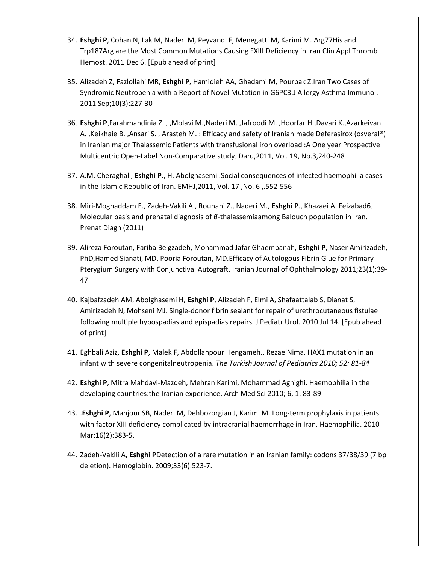- 34. **Eshghi P**, Cohan N, Lak M, Naderi M, Peyvandi F, Menegatti M, Karimi M[. Arg77His and](http://www.ncbi.nlm.nih.gov/pubmed/22156982)  [Trp187Arg are the Most Common Mutations Causing FXIII Deficiency in Iran](http://www.ncbi.nlm.nih.gov/pubmed/22156982) Clin Appl Thromb Hemost. 2011 Dec 6. [Epub ahead of print]
- 35. Alizadeh Z, Fazlollahi MR, **Eshghi P**, Hamidieh AA, Ghadami M, Pourpak Z.Iran Two Cases of Syndromic Neutropenia with a Report of Novel Mutation in G6PC3.J Allergy Asthma Immunol. 2011 Sep;10(3):227-30
- 36. **Eshghi P**,Farahmandinia Z. , ,Molavi M.,Naderi M. ,Jafroodi M. ,Hoorfar H.,Davari K.,Azarkeivan A. ,Keikhaie B. ,Ansari S. , Arasteh M. : Efficacy and safety of Iranian made Deferasirox (osveral®) in Iranian major Thalassemic Patients with transfusional iron overload :A One year Prospective Multicentric Open-Label Non-Comparative study. Daru,2011, Vol. 19, No.3,240-248
- 37. A.M. Cheraghali, **Eshghi P**., H. Abolghasemi .Social consequences of infected haemophilia cases in the Islamic Republic of Iran. EMHJ,2011, Vol. 17 ,No. 6 ,.552-556
- 38. Miri-Moghaddam E., Zadeh-Vakili A., Rouhani Z., Naderi M., **Eshghi P**., Khazaei A. Feizabad6. Molecular basis and prenatal diagnosis of *β*-thalassemiaamong Balouch population in Iran. Prenat Diagn (2011)
- 39. Alireza Foroutan, Fariba Beigzadeh, Mohammad Jafar Ghaempanah, **Eshghi P**, Naser Amirizadeh, PhD,Hamed Sianati, MD, Pooria Foroutan, MD.Efficacy of Autologous Fibrin Glue for Primary Pterygium Surgery with Conjunctival Autograft. Iranian Journal of Ophthalmology 2011;23(1):39- 47
- 40. [Kajbafzadeh AM,](http://www.ncbi.nlm.nih.gov/pubmed?term=%22Kajbafzadeh%20AM%22%5BAuthor%5D) [Abolghasemi H,](http://www.ncbi.nlm.nih.gov/pubmed?term=%22Abolghasemi%20H%22%5BAuthor%5D) **[Eshghi P](http://www.ncbi.nlm.nih.gov/pubmed?term=%22Eshghi%20P%22%5BAuthor%5D)**, [Alizadeh F,](http://www.ncbi.nlm.nih.gov/pubmed?term=%22Alizadeh%20F%22%5BAuthor%5D) [Elmi A,](http://www.ncbi.nlm.nih.gov/pubmed?term=%22Elmi%20A%22%5BAuthor%5D) [Shafaattalab S,](http://www.ncbi.nlm.nih.gov/pubmed?term=%22Shafaattalab%20S%22%5BAuthor%5D) [Dianat S,](http://www.ncbi.nlm.nih.gov/pubmed?term=%22Dianat%20S%22%5BAuthor%5D) [Amirizadeh N,](http://www.ncbi.nlm.nih.gov/pubmed?term=%22Amirizadeh%20N%22%5BAuthor%5D) [Mohseni MJ.](http://www.ncbi.nlm.nih.gov/pubmed?term=%22Mohseni%20MJ%22%5BAuthor%5D) Single-donor fibrin sealant for repair of urethrocutaneous fistulae following multiple hypospadias and epispadias repairs. [J Pediatr Urol.](javascript:AL_get(this,%20) 2010 Jul 14. [Epub ahead of print]
- 41. Eghbali Aziz**, Eshghi P**, Malek F, Abdollahpour Hengameh., RezaeiNima. HAX1 mutation in an infant with severe congenitalneutropenia. *The Turkish Journal of Pediatrics 2010; 52: 81-84*
- 42. **Eshghi P**, Mitra Mahdavi-Mazdeh, Mehran Karimi, Mohammad Aghighi. Haemophilia in the developing countries:the Iranian experience. Arch Med Sci 2010; 6, 1: 83-89
- 43. .**[Eshghi P](http://www.ncbi.nlm.nih.gov/pubmed?term=Eshghi%20P%5BAuthor%5D&cauthor=true&cauthor_uid=19878334)**, [Mahjour SB,](http://www.ncbi.nlm.nih.gov/pubmed?term=Mahjour%20SB%5BAuthor%5D&cauthor=true&cauthor_uid=19878334) [Naderi M,](http://www.ncbi.nlm.nih.gov/pubmed?term=Naderi%20M%5BAuthor%5D&cauthor=true&cauthor_uid=19878334) [Dehbozorgian J,](http://www.ncbi.nlm.nih.gov/pubmed?term=Dehbozorgian%20J%5BAuthor%5D&cauthor=true&cauthor_uid=19878334) [Karimi M.](http://www.ncbi.nlm.nih.gov/pubmed?term=Karimi%20M%5BAuthor%5D&cauthor=true&cauthor_uid=19878334) Long-term prophylaxis in patients with factor XIII deficiency complicated by intracranial haemorrhage in Iran. [Haemophilia.](http://www.ncbi.nlm.nih.gov/pubmed/19878334) 2010 Mar;16(2):383-5.
- 44. [Zadeh-Vakili A](http://www.ncbi.nlm.nih.gov/pubmed?term=%22Zadeh-Vakili%20A%22%5BAuthor%5D&itool=EntrezSystem2.PEntrez.Pubmed.Pubmed_ResultsPanel.Pubmed_RVAbstract)**[, Eshghi P](http://www.ncbi.nlm.nih.gov/pubmed?term=%22Eshghi%20P%22%5BAuthor%5D&itool=EntrezSystem2.PEntrez.Pubmed.Pubmed_ResultsPanel.Pubmed_RVAbstract)**Detection of a rare mutation in an Iranian family: codons 37/38/39 (7 bp deletion). [Hemoglobin.](javascript:AL_get(this,%20) 2009;33(6):523-7.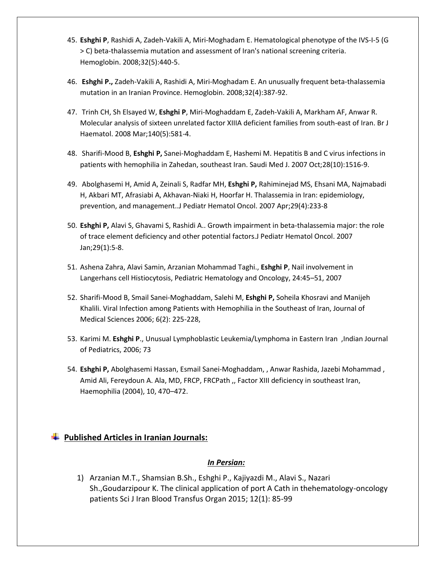- 45. **[Eshghi P](http://www.ncbi.nlm.nih.gov/pubmed?term=%22Eshghi%20P%22%5BAuthor%5D&itool=EntrezSystem2.PEntrez.Pubmed.Pubmed_ResultsPanel.Pubmed_RVAbstract)**[, Rashidi A,](http://www.ncbi.nlm.nih.gov/pubmed?term=%22Rashidi%20A%22%5BAuthor%5D&itool=EntrezSystem2.PEntrez.Pubmed.Pubmed_ResultsPanel.Pubmed_RVAbstract) [Zadeh-Vakili A,](http://www.ncbi.nlm.nih.gov/pubmed?term=%22Zadeh-Vakili%20A%22%5BAuthor%5D&itool=EntrezSystem2.PEntrez.Pubmed.Pubmed_ResultsPanel.Pubmed_RVAbstract) [Miri-Moghadam E.](http://www.ncbi.nlm.nih.gov/pubmed?term=%22Miri-Moghadam%20E%22%5BAuthor%5D&itool=EntrezSystem2.PEntrez.Pubmed.Pubmed_ResultsPanel.Pubmed_RVAbstract) Hematological phenotype of the IVS-I-5 (G > C) beta-thalassemia mutation and assessment of Iran's national screening criteria. [Hemoglobin.](javascript:AL_get(this,%20) 2008;32(5):440-5.
- 46. **Eshghi P.,** [Zadeh-Vakili A, Rashidi A, Miri-Moghadam E.](../AppData/Peyman/AppData/Roaming/pubmed/18654889) An unusually frequent beta-thalassemia mutation in an Iranian Province. Hemoglobin. 2008;32(4):387-92.
- 47. Trinh CH, Sh Elsayed W, **Eshghi P**[, Miri-Moghaddam E, Zadeh-Vakili A, Markham AF, Anwar R.](../AppData/Peyman/AppData/Roaming/pubmed/18275437) Molecular analysis of sixteen unrelated factor XIIIA deficient families from south-east of Iran. Br J Haematol. 2008 Mar;140(5):581-4.
- 48. Sharifi-Mood B, **Eshghi P,** [Sanei-Moghaddam E, Hashemi M.](../AppData/Peyman/AppData/Roaming/pubmed/17914511) Hepatitis B and C virus infections in patients with hemophilia in Zahedan, southeast Iran. Saudi Med J. 2007 Oct;28(10):1516-9.
- 49. [Abolghasemi H, Amid A, Zeinali S, Radfar MH,](../AppData/Peyman/AppData/Roaming/pubmed/17414565) **Eshghi P,** Rahiminejad MS, Ehsani MA, Najmabadi [H, Akbari MT, Afrasiabi A, Akhavan-Niaki H, Hoorfar H.](../AppData/Peyman/AppData/Roaming/pubmed/17414565) Thalassemia in Iran: epidemiology, prevention, and management..J Pediatr Hematol Oncol. 2007 Apr;29(4):233-8
- 50. **Eshghi P,** [Alavi S, Ghavami S, Rashidi A..](../AppData/Peyman/AppData/Roaming/pubmed/17230059) Growth impairment in beta-thalassemia major: the role of trace element deficiency and other potential factors.J Pediatr Hematol Oncol. 2007 Jan;29(1):5-8.
- 51. Ashena Zahra, Alavi Samin, Arzanian Mohammad Taghi., **Eshghi P**, Nail involvement in Langerhans cell Histiocytosis, Pediatric Hematology and Oncology, 24:45–51, 2007
- 52. Sharifi-Mood B, Smail Sanei-Moghaddam, Salehi M, **Eshghi P,** Soheila Khosravi and Manijeh Khalili. Viral Infection among Patients with Hemophilia in the Southeast of Iran, Journal of Medical Sciences 2006; 6(2): 225-228,
- 53. Karimi M. **Eshghi P**., Unusual Lymphoblastic Leukemia/Lymphoma in Eastern Iran ,Indian Journal of Pediatrics, 2006; 73
- 54. **Eshghi P,** Abolghasemi Hassan, Esmail Sanei-Moghaddam, , Anwar Rashida, Jazebi Mohammad , Amid Ali, Fereydoun A. Ala, MD, FRCP, FRCPath ,, Factor XIII deficiency in southeast Iran, Haemophilia (2004), 10, 470–472.

### **Published Articles in Iranian Journals:**

#### *In Persian:*

1) Arzanian M.T., Shamsian B.Sh., Eshghi P., Kajiyazdi M., Alavi S., Nazari Sh.,Goudarzipour K. The clinical application of port A Cath in thehematology-oncology patients Sci J Iran Blood Transfus Organ 2015; 12(1): 85-99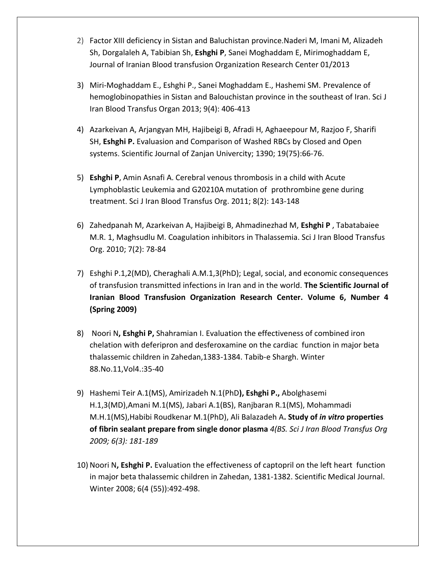- 2) Factor XIII deficiency in Sistan and Baluchistan provinc[e](https://www.researchgate.net/researcher/2003885610_Naderi_M/).[Naderi M,](https://www.researchgate.net/researcher/2003885610_Naderi_M/) [Imani M,](https://www.researchgate.net/researcher/2013675686_Imani_M/) [Alizadeh](https://www.researchgate.net/researcher/2028953970_Alizadeh_Sh/)  [Sh,](https://www.researchgate.net/researcher/2028953970_Alizadeh_Sh/) [Dorgalaleh A,](https://www.researchgate.net/researcher/2032919933_Dorgalaleh_A/) [Tabibian Sh,](https://www.researchgate.net/researcher/2028873117_Tabibian_Sh/) **[Eshghi P](https://www.researchgate.net/researcher/16007231_Eshghi_P/)**[, Sanei Moghaddam E,](https://www.researchgate.net/researcher/2033083344_Sanei_Moghaddam_E/) [Mirimoghaddam E,](https://www.researchgate.net/researcher/2033075320_Mirimoghaddam_E/) Journal of Iranian Blood transfusion Organization Research Center 01/2013
- 3) Miri-Moghaddam E., Eshghi P., Sanei Moghaddam E., Hashemi SM. Prevalence of hemoglobinopathies in Sistan and Balouchistan province in the southeast of Iran. Sci J Iran Blood Transfus Organ 2013; 9(4): 406-413
- 4) Azarkeivan A, Arjangyan MH, Hajibeigi B, Afradi H, Aghaeepour M, Razjoo F, Sharifi SH, **Eshghi P.** Evaluasion and Comparison of Washed RBCs by Closed and Open systems. Scientific Journal of Zanjan Univercity; 1390; 19(75):66-76.
- 5) **Eshghi P**, Amin Asnafi A. Cerebral venous thrombosis in a child with Acute Lymphoblastic Leukemia and G20210A mutation of prothrombine gene during treatment. Sci J Iran Blood Transfus Org. 2011; 8(2): 143-148
- 6) Zahedpanah M, Azarkeivan A, Hajibeigi B, Ahmadinezhad M, **Eshghi P** , Tabatabaiee M.R. 1, Maghsudlu M. Coagulation inhibitors in Thalassemia. Sci J Iran Blood Transfus Org. 2010; 7(2): 78-84
- 7) Eshghi P.1,2(MD), Cheraghali A.M.1,3(PhD); Legal, social, and economic consequences of transfusion transmitted infections in Iran and in the world. **The Scientific Journal of Iranian Blood Transfusion Organization Research Center. Volume 6, Number 4 (Spring 2009)**
- 8) Noori N**, Eshghi P,** Shahramian I. Evaluation the effectiveness of combined iron chelation with deferipron and desferoxamine on the cardiac function in major beta thalassemic children in Zahedan,1383-1384. Tabib-e Shargh. Winter 88.No.11,Vol4.:35-40
- 9) Hashemi Teir A.1(MS), Amirizadeh N.1(PhD**), Eshghi P.,** Abolghasemi H.1,3(MD),Amani M.1(MS), Jabari A.1(BS), Ranjbaran R.1(MS), Mohammadi M.H.1(MS),Habibi Roudkenar M.1(PhD), Ali Balazadeh A**. Study of** *in vitro* **properties of fibrin sealant prepare from single donor plasma** *4(BS. Sci J Iran Blood Transfus Org 2009; 6(3): 181-189*
- 10) Noori N**, Eshghi P.** Evaluation the effectiveness of captopril on the left heart function in major beta thalassemic children in Zahedan, 1381-1382. Scientific Medical Journal. Winter 2008; 6(4 (55)):492-498.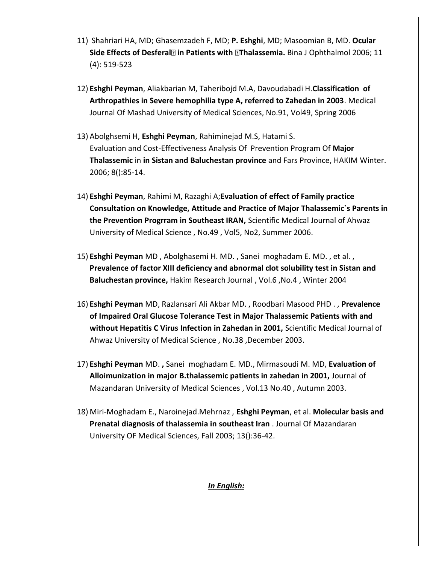- 11) Shahriari HA, MD; Ghasemzadeh F, MD; **P. Eshghi**, MD; Masoomian B, MD. **Ocular Side Effects of Desferal in Patients with Thalassemia.** Bina J Ophthalmol 2006; 11 (4): 519-523
- 12) **Eshghi Peyman**, Aliakbarian M, Taheribojd M.A, Davoudabadi H.**Classification of Arthropathies in Severe hemophilia type A, referred to Zahedan in 2003**. Medical Journal Of Mashad University of Medical Sciences, No.91, Vol49, Spring 2006
- 13) Abolghsemi H, **Eshghi Peyman**[, Rahiminejad M.S, Hatami S.](http://www.sid.ir/En/ViewPaper.asp?ID=49013&varStr=1;ABOLGHASEMI%20H.%20,%20ESHGHI%20P.%20,%20RAHIMINEJAD%20M.S.%20,%20HATAMI%20S.;HAKIM;Winter%202006;8;;85;14) Evaluation and Cost-Effectiveness Analysis Of Prevention Program Of **Major Thalassemic** in **in Sistan and Baluchestan province** and Fars Province, HAKIM Winter. 2006; 8():85-14.
- 14) **Eshghi Peyman**, Rahimi M, Razaghi A;**Evaluation of effect of Family practice Consultation on Knowledge, Attitude and Practice of Major Thalassemic`s Parents in the Prevention Progrram in Southeast IRAN,** Scientific Medical Journal of Ahwaz University of Medical Science , No.49 , Vol5, No2, Summer 2006.
- 15) **Eshghi Peyman** MD , Abolghasemi H. MD. , Sanei moghadam E. MD. , et al. , **Prevalence of factor XIII deficiency and abnormal clot solubility test in Sistan and Baluchestan province,** Hakim Research Journal , Vol.6 ,No.4 , Winter 2004
- 16) **Eshghi Peyman** MD, Razlansari Ali Akbar MD. , Roodbari Masood PHD . , **Prevalence of Impaired Oral Glucose Tolerance Test in Major Thalassemic Patients with and without Hepatitis C Virus Infection in Zahedan in 2001,** Scientific Medical Journal of Ahwaz University of Medical Science , No.38 ,December 2003.
- 17) **Eshghi Peyman** MD. **,** Sanei moghadam E. MD., Mirmasoudi M. MD, **Evaluation of Alloimunization in major B.thalassemic patients in zahedan in 2001,** Journal of Mazandaran University of Medical Sciences , Vol.13 No.40 , Autumn 2003.
- 18) Miri-Moghadam E., Naroinejad.Mehrnaz , **Eshghi Peyman**, et al. **Molecular basis and Prenatal diagnosis of thalassemia in southeast Iran** . Journal Of Mazandaran University OF Medical Sciences, Fall 2003; 13():36-42.

*In English:*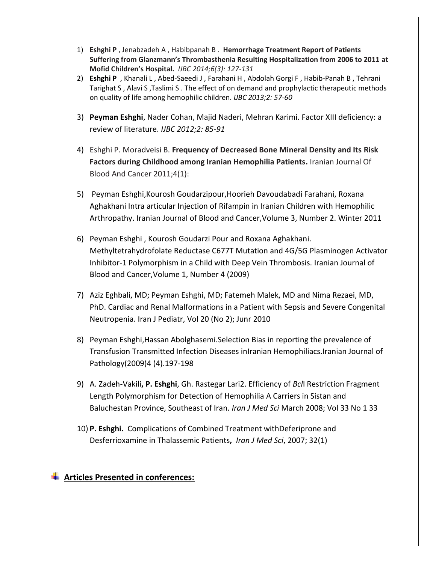- 1) **Eshghi P** , Jenabzadeh A , Habibpanah B . **Hemorrhage Treatment Report of Patients Suffering from Glanzmann's Thrombasthenia Resulting Hospitalization from 2006 to 2011 at Mofid Children's Hospital.** *IJBC 2014;6(3): 127-131*
- 2) **Eshghi P** , Khanali L , Abed-Saeedi J , Farahani H , Abdolah Gorgi F , Habib-Panah B , Tehrani Tarighat S , Alavi S ,Taslimi S . The effect of on demand and prophylactic therapeutic methods on quality of life among hemophilic children. *IJBC 2013;2: 57-60*
- 3) **Peyman Eshghi**, Nader Cohan, Majid Naderi, Mehran Karimi. Factor XIII deficiency: a review of literature. *IJBC 2012;2: 85-91*
- 4) Eshghi P. Moradveisi B. **Frequency of Decreased Bone Mineral Density and Its Risk Factors during Childhood among Iranian Hemophilia Patients.** Iranian Journal Of Blood And Cancer 2011;4(1):
- 5) Peyman Eshghi,Kourosh Goudarzipour,Hoorieh Davoudabadi Farahani, Roxana Aghakhani Intra articular Injection of Rifampin in Iranian Children with Hemophilic Arthropathy. Iranian Journal of Blood and Cancer,Volume 3, Number 2. Winter 2011
- 6) [Peyman Eshghi ,](http://www.ijbc.ir/search.php?slc_lang=en&sid=1&auth=Eshghi) [Kourosh Goudarzi Pour](http://www.ijbc.ir/search.php?slc_lang=en&sid=1&auth=Goudarzi+Pour) and [Roxana Aghakhani.](http://www.ijbc.ir/search.php?slc_lang=en&sid=1&auth=Aghakhani) Methyltetrahydrofolate Reductase C677T Mutation and 4G/5G Plasminogen Activator Inhibitor-1 Polymorphism in a Child with Deep Vein Thrombosis. Iranian Journal of Blood and Cancer,Volume 1, Number 4 (2009)
- 7) Aziz Eghbali, MD; Peyman Eshghi, MD; Fatemeh Malek, MD and Nima Rezaei, MD, PhD. Cardiac and Renal Malformations in a Patient with Sepsis and Severe Congenital Neutropenia. Iran J Pediatr, Vol 20 (No 2); Junr 2010
- 8) Peyman Eshghi,Hassan Abolghasemi.Selection Bias in reporting the prevalence of Transfusion Transmitted Infection Diseases inIranian Hemophiliacs.Iranian Journal of Pathology(2009)4 (4).197-198
- 9) A. Zadeh-Vakili**, P. Eshghi**, Gh. Rastegar Lari2. Efficiency of *Bcl*I Restriction Fragment Length Polymorphism for Detection of Hemophilia A Carriers in Sistan and Baluchestan Province, Southeast of Iran. *Iran J Med Sci* March 2008; Vol 33 No 1 33
- 10) **P. Eshghi.** Complications of Combined Treatment withDeferiprone and Desferrioxamine in Thalassemic Patients**,** *Iran J Med Sci*, 2007; 32(1)

#### **Articles Presented in conferences:**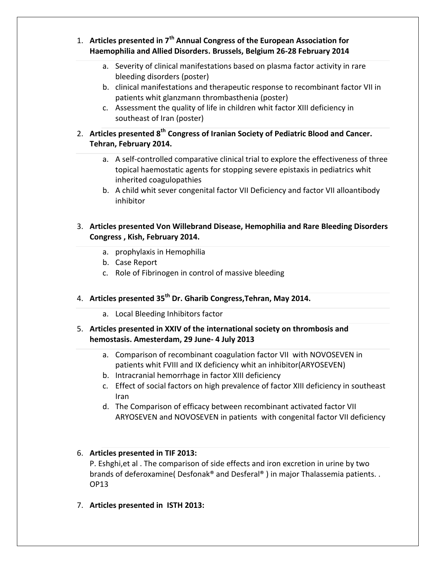- 1. **Articles presented in 7th Annual Congress of the European Association for Haemophilia and Allied Disorders. Brussels, Belgium 26-28 February 2014**
	- a. Severity of clinical manifestations based on plasma factor activity in rare bleeding disorders (poster)
	- b. clinical manifestations and therapeutic response to recombinant factor VII in patients whit glanzmann thrombasthenia (poster)
	- c. Assessment the quality of life in children whit factor XIII deficiency in southeast of Iran (poster)
- 2. **Articles presented 8th Congress of Iranian Society of Pediatric Blood and Cancer. Tehran, February 2014.** 
	- a. A self-controlled comparative clinical trial to explore the effectiveness of three topical haemostatic agents for stopping severe epistaxis in pediatrics whit inherited coagulopathies
	- b. A child whit sever congenital factor VII Deficiency and factor VII alloantibody inhibitor
- 3. **Articles presented Von Willebrand Disease, Hemophilia and Rare Bleeding Disorders Congress , Kish, February 2014.** 
	- a. prophylaxis in Hemophilia
	- b. Case Report
	- c. Role of Fibrinogen in control of massive bleeding

# 4. **Articles presented 35th Dr. Gharib Congress,Tehran, May 2014.**

- a. Local Bleeding Inhibitors factor
- 5. **Articles presented in XXIV of the international society on thrombosis and hemostasis. Amesterdam, 29 June- 4 July 2013** 
	- a. Comparison of recombinant coagulation factor VII with NOVOSEVEN in patients whit FVIII and IX deficiency whit an inhibitor(ARYOSEVEN)
	- b. Intracranial hemorrhage in factor XIII deficiency
	- c. Effect of social factors on high prevalence of factor XIII deficiency in southeast Iran
	- d. The Comparison of efficacy between recombinant activated factor VII ARYOSEVEN and NOVOSEVEN in patients with congenital factor VII deficiency

#### 6. **Articles presented in TIF 2013:**

P. Eshghi,et al . The comparison of side effects and iron excretion in urine by two brands of deferoxamine( Desfonak® and Desferal® ) in major Thalassemia patients. . OP13

7. **Articles presented in ISTH 2013:**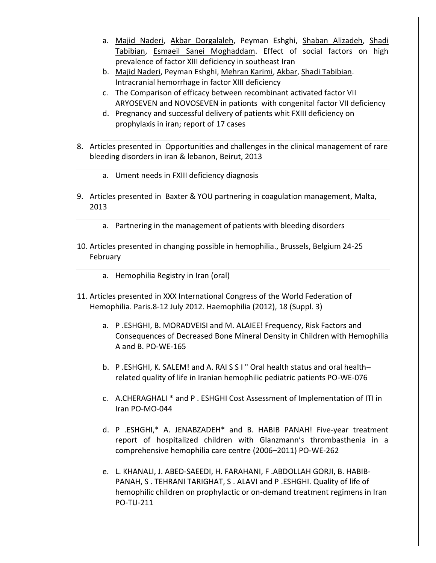- a. [Majid Naderi,](https://www.researchgate.net/researcher/59214891_Majid_Naderi/) [Akbar Dorgalaleh,](https://www.researchgate.net/researcher/2016446576_Akbar_Dorgalaleh/) Peyman Eshghi, [Shaban Alizadeh,](https://www.researchgate.net/researcher/2007306758_Shaban_Alizadeh/) [Shadi](https://www.researchgate.net/researcher/2016629974_Shadi_Tabibian/)  [Tabibian,](https://www.researchgate.net/researcher/2016629974_Shadi_Tabibian/) [Esmaeil Sanei Moghaddam.](https://www.researchgate.net/researcher/2007390614_Esmaeil_Sanei_Moghaddam/) [Effect of social factors on high](https://www.researchgate.net/publication/243962747_Effect_of_social_factors_on_high_prevalence_of_factor_XIII_deficiency_in_southeast_Iran?ev=prf_pub)  [prevalence of factor XIII deficiency in southeast Iran](https://www.researchgate.net/publication/243962747_Effect_of_social_factors_on_high_prevalence_of_factor_XIII_deficiency_in_southeast_Iran?ev=prf_pub)
- b. [Majid Naderi,](https://www.researchgate.net/researcher/59214891_Majid_Naderi/) Peyman Eshghi, [Mehran Karimi,](https://www.researchgate.net/researcher/75405602_Mehran_Karimi/) [Akbar,](https://www.researchgate.net/researcher/2017333061_Akbar/) [Shadi Tabibian.](https://www.researchgate.net/researcher/2016629974_Shadi_Tabibian/) [Intracranial hemorrhage in factor XIII deficiency](https://www.researchgate.net/publication/245030493_Intracranial_hemorrhage_in_factor_XIII_deficiency?ev=prf_pub)
- c. The Comparison of efficacy between recombinant activated factor VII ARYOSEVEN and NOVOSEVEN in pationts with congenital factor VII deficiency
- d. Pregnancy and successful delivery of patients whit FXIII deficiency on prophylaxis in iran; report of 17 cases
- 8. Articles presented in Opportunities and challenges in the clinical management of rare bleeding disorders in iran & lebanon, Beirut, 2013
	- a. Ument needs in FXIII deficiency diagnosis
- 9. Articles presented in Baxter & YOU partnering in coagulation management, Malta, 2013
	- a. Partnering in the management of patients with bleeding disorders
- 10. Articles presented in changing possible in hemophilia., Brussels, Belgium 24-25 February
	- a. Hemophilia Registry in Iran (oral)
- 11. Articles presented in XXX International Congress of the World Federation of Hemophilia. Paris.8-12 July 2012. Haemophilia (2012), 18 (Suppl. 3)
	- a. P .ESHGHI, B. MORADVEISI and M. ALAIEE! Frequency, Risk Factors and Consequences of Decreased Bone Mineral Density in Children with Hemophilia A and B. PO-WE-165
	- b. P .ESHGHI, K. SALEM! and A. RAI S S I " Oral health status and oral health– related quality of life in Iranian hemophilic pediatric patients PO-WE-076
	- c. A.CHERAGHALI \* and P . ESHGHI Cost Assessment of Implementation of ITI in Iran PO-MO-044
	- d. P .ESHGHI,\* A. JENABZADEH\* and B. HABIB PANAH! Five-year treatment report of hospitalized children with Glanzmann's thrombasthenia in a comprehensive hemophilia care centre (2006–2011) PO-WE-262
	- e. L. KHANALI, J. ABED-SAEEDI, H. FARAHANI, F .ABDOLLAH GORJI, B. HABIB-PANAH, S . TEHRANI TARIGHAT, S . ALAVI and P .ESHGHI. Quality of life of hemophilic children on prophylactic or on-demand treatment regimens in Iran PO-TU-211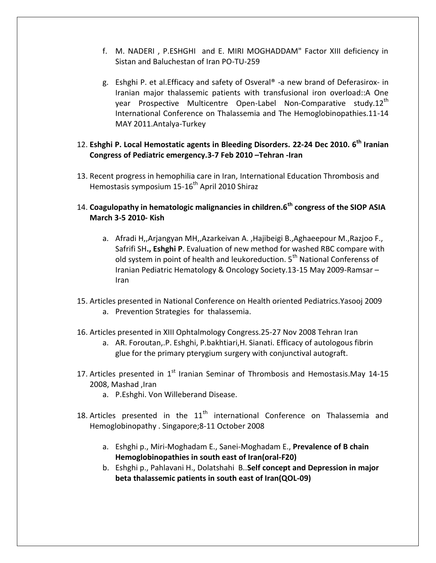- f. M. NADERI , P.ESHGHI and E. MIRI MOGHADDAM" Factor XIII deficiency in Sistan and Baluchestan of Iran PO-TU-259
- g. Eshghi P. et al.Efficacy and safety of Osveral® -a new brand of Deferasirox- in Iranian major thalassemic patients with transfusional iron overload::A One year Prospective Multicentre Open-Label Non-Comparative study.12<sup>th</sup> International Conference on Thalassemia and The Hemoglobinopathies.11-14 MAY 2011.Antalya-Turkey
- 12. **Eshghi P. Local Hemostatic agents in Bleeding Disorders. 22-24 Dec 2010. 6th Iranian Congress of Pediatric emergency.3-7 Feb 2010 –Tehran -Iran**
- 13. Recent progress in hemophilia care in Iran, International Education Thrombosis and Hemostasis symposium  $15{\text -}16^{\text{th}}$  April 2010 Shiraz
- 14. **Coagulopathy in hematologic malignancies in children.6th congress of the SIOP ASIA March 3-5 2010- Kish**
	- a. Afradi H,,Arjangyan MH,,Azarkeivan A. ,Hajibeigi B.,Aghaeepour M.,Razjoo F., Safrifi SH**., Eshghi P**. Evaluation of new method for washed RBC compare with old system in point of health and leukoreduction. 5<sup>th</sup> National Conferenss of Iranian Pediatric Hematology & Oncology Society.13-15 May 2009-Ramsar – Iran
- 15. Articles presented in National Conference on Health oriented Pediatrics.Yasooj 2009 a. Prevention Strategies for thalassemia.
- 16. Articles presented in XIII Ophtalmology Congress.25-27 Nov 2008 Tehran Iran
	- a. AR. Foroutan,.P. Eshghi, P.bakhtiari,H. Sianati. Efficacy of autologous fibrin glue for the primary pterygium surgery with conjunctival autograft.
- 17. Articles presented in  $1<sup>st</sup>$  Iranian Seminar of Thrombosis and Hemostasis.May 14-15 2008, Mashad ,Iran
	- a. P.Eshghi. Von Willeberand Disease.
- 18. Articles presented in the  $11<sup>th</sup>$  international Conference on Thalassemia and Hemoglobinopathy . Singapore;8-11 October 2008
	- a. Eshghi p., Miri-Moghadam E., Sanei-Moghadam E., **Prevalence of Β chain Hemoglobinopathies in south east of Iran(oral-F20)**
	- b. Eshghi p., Pahlavani H., Dolatshahi B..**Self concept and Depression in major beta thalassemic patients in south east of Iran(QOL-09)**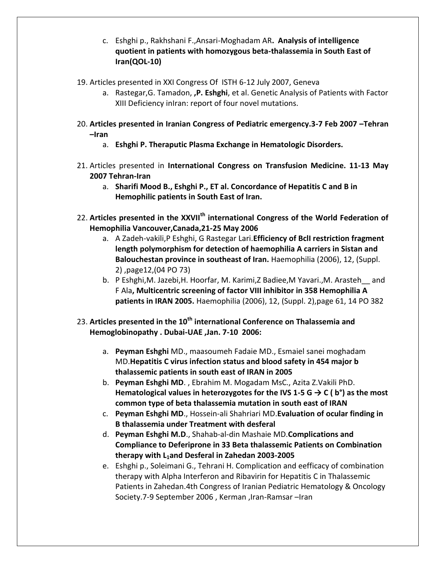- c. Eshghi p., Rakhshani F.,Ansari-Moghadam AR**. Analysis of intelligence quotient in patients with homozygous beta-thalassemia in South East of Iran(QOL-10)**
- 19. Articles presented in XXI Congress Of ISTH 6-12 July 2007, Geneva
	- a. Rastegar,G. Tamadon, **,P. Eshghi**, et al. Genetic Analysis of Patients with Factor XIII Deficiency inIran: report of four novel mutations.
- 20. **Articles presented in Iranian Congress of Pediatric emergency.3-7 Feb 2007 –Tehran –Iran**
	- a. **Eshghi P. Theraputic Plasma Exchange in Hematologic Disorders.**
- 21. Articles presented in **International Congress on Transfusion Medicine. 11-13 May 2007 Tehran-Iran**
	- a. **Sharifi Mood B., Eshghi P., ET al. Concordance of Hepatitis C and B in Hemophilic patients in South East of Iran.**
- 22. **Articles presented in the XXVIIth international Congress of the World Federation of Hemophilia Vancouver,Canada,21-25 May 2006**
	- a. A Zadeh-vakili,P Eshghi, G Rastegar Lari.**Efficiency of BclI restriction fragment length polymorphism for detection of haemophilia A carriers in Sistan and Balouchestan province in southeast of Iran.** Haemophilia (2006), 12, (Suppl. 2) ,page12,(04 PO 73)
	- b. P Eshghi,M. Jazebi,H. Hoorfar, M. Karimi,Z Badiee,M Yavari.,M. Arasteh\_\_ and F Ala**, Multicentric screening of factor VIII inhibitor in 358 Hemophilia A patients in IRAN 2005.** Haemophilia (2006), 12, (Suppl. 2),page 61, 14 PO 382
- 23. **Articles presented in the 10th international Conference on Thalassemia and Hemoglobinopathy . Dubai-UAE ,Jan. 7-10 2006:**
	- a. **Peyman Eshghi** MD., maasoumeh Fadaie MD., Esmaiel sanei moghadam MD.**Hepatitis C virus infection status and blood safety in 454 major b thalassemic patients in south east of IRAN in 2005**
	- b. **Peyman Eshghi MD**. , Ebrahim M. Mogadam MsC., Azita Z.Vakili PhD. **Hematological values in heterozygotes for the IVS 1-5 G → C ( b°) as the most common type of beta thalassemia mutation in south east of IRAN**
	- c. **Peyman Eshghi MD**., Hossein-ali Shahriari MD.**Evaluation of ocular finding in B thalassemia under Treatment with desferal**
	- d. **Peyman Eshghi M.D**., Shahab-al-din Mashaie MD.**Complications and Compliance to Deferiprone in 33 Beta thalassemic Patients on Combination therapy with L1and Desferal in Zahedan 2003-2005**
	- e. Eshghi p., Soleimani G., Tehrani H. Complication and eefficacy of combination therapy with Alpha Interferon and Ribavirin for Hepatitis C in Thalassemic Patients in Zahedan.4th Congress of Iranian Pediatric Hematology & Oncology Society.7-9 September 2006 , Kerman ,Iran-Ramsar –Iran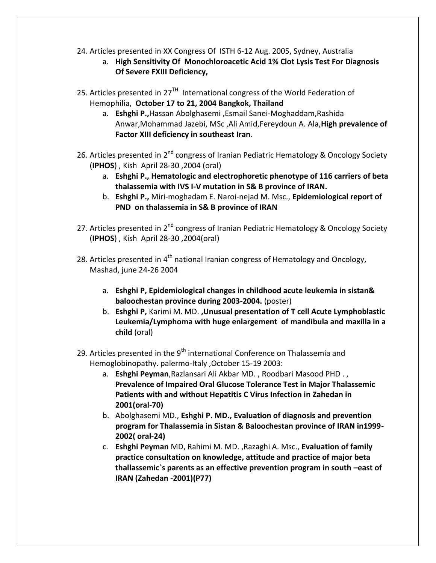- 24. Articles presented in XX Congress Of ISTH 6-12 Aug. 2005, Sydney, Australia
	- a. **High Sensitivity Of Monochloroacetic Acid 1% Clot Lysis Test For Diagnosis Of Severe FXIII Deficiency,**
- 25. Articles presented in 27 $^{TH}$  International congress of the World Federation of Hemophilia, **October 17 to 21, 2004 Bangkok, Thailand**
	- a. **Eshghi P.,**Hassan Abolghasemi ,Esmail Sanei-Moghaddam,Rashida Anwar,Mohammad Jazebi, MSc ,Ali Amid,Fereydoun A. Ala,**High prevalence of Factor XIII deficiency in southeast Iran**.
- 26. Articles presented in 2<sup>nd</sup> congress of Iranian Pediatric Hematology & Oncology Society (**IPHOS**) , Kish April 28-30 ,2004 (oral)
	- a. **Eshghi P., Hematologic and electrophoretic phenotype of 116 carriers of beta thalassemia with IVS I-V mutation in S& B province of IRAN.**
	- b. **Eshghi P.,** Miri-moghadam E. Naroi-nejad M. Msc., **Epidemiological report of PND on thalassemia in S& B province of IRAN**
- 27. Articles presented in  $2^{nd}$  congress of Iranian Pediatric Hematology & Oncology Society (**IPHOS**) , Kish April 28-30 ,2004(oral)
- 28. Articles presented in 4<sup>th</sup> national Iranian congress of Hematology and Oncology, Mashad, june 24-26 2004
	- a. **Eshghi P, Epidemiological changes in childhood acute leukemia in sistan& baloochestan province during 2003-2004.** (poster)
	- b. **Eshghi P,** Karimi M. MD. **,Unusual presentation of T cell Acute Lymphoblastic Leukemia/Lymphoma with huge enlargement of mandibula and maxilla in a child** (oral)
- 29. Articles presented in the  $9<sup>th</sup>$  international Conference on Thalassemia and Hemoglobinopathy. palermo-Italy ,October 15-19 2003:
	- a. **Eshghi Peyman**,Razlansari Ali Akbar MD. , Roodbari Masood PHD . , **Prevalence of Impaired Oral Glucose Tolerance Test in Major Thalassemic Patients with and without Hepatitis C Virus Infection in Zahedan in 2001(oral-70)**
	- b. Abolghasemi MD., **Eshghi P. MD., Evaluation of diagnosis and prevention program for Thalassemia in Sistan & Baloochestan province of IRAN in1999- 2002( oral-24)**
	- c. **Eshghi Peyman** MD, Rahimi M. MD. ,Razaghi A. Msc., **Evaluation of family practice consultation on knowledge, attitude and practice of major beta thallassemic`s parents as an effective prevention program in south –east of IRAN (Zahedan -2001)(P77)**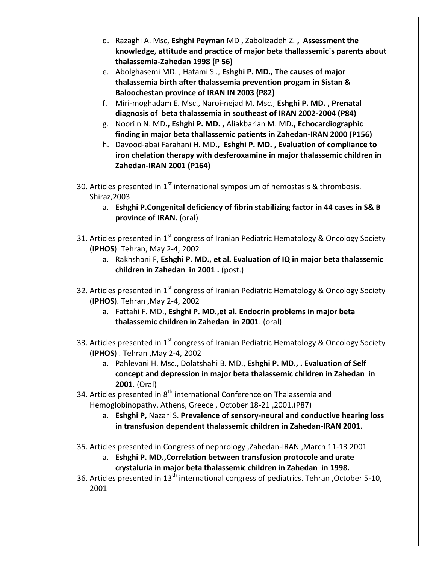- d. Razaghi A. Msc, **Eshghi Peyman** MD , Zabolizadeh Z. **, Assessment the knowledge, attitude and practice of major beta thallassemic`s parents about thalassemia-Zahedan 1998 (P 56)**
- e. Abolghasemi MD. , Hatami S ., **Eshghi P. MD., The causes of major thalassemia birth after thalassemia prevention progam in Sistan & Baloochestan province of IRAN IN 2003 (P82)**
- f. Miri-moghadam E. Msc., Naroi-nejad M. Msc., **Eshghi P. MD. , Prenatal diagnosis of beta thalassemia in southeast of IRAN 2002-2004 (P84)**
- g. Noori n N. MD**., Eshghi P. MD. ,** Aliakbarian M. MD**., Echocardiographic finding in major beta thallassemic patients in Zahedan-IRAN 2000 (P156)**
- h. Davood-abai Farahani H. MD**., Eshghi P. MD. , Evaluation of compliance to iron chelation therapy with desferoxamine in major thalassemic children in Zahedan-IRAN 2001 (P164)**
- 30. Articles presented in  $1<sup>st</sup>$  international symposium of hemostasis & thrombosis. Shiraz,2003
	- a. **Eshghi P.Congenital deficiency of fibrin stabilizing factor in 44 cases in S& B province of IRAN.** (oral)
- 31. Articles presented in 1<sup>st</sup> congress of Iranian Pediatric Hematology & Oncology Society (**IPHOS**). Tehran, May 2-4, 2002
	- a. Rakhshani F, **Eshghi P. MD., et al. Evaluation of IQ in major beta thalassemic children in Zahedan in 2001 .** (post.)
- 32. Articles presented in 1<sup>st</sup> congress of Iranian Pediatric Hematology & Oncology Society (**IPHOS**). Tehran ,May 2-4, 2002
	- a. Fattahi F. MD., **Eshghi P. MD.,et al. Endocrin problems in major beta thalassemic children in Zahedan in 2001**. (oral)
- 33. Articles presented in 1<sup>st</sup> congress of Iranian Pediatric Hematology & Oncology Society (**IPHOS**) . Tehran ,May 2-4, 2002
	- a. Pahlevani H. Msc., Dolatshahi B. MD., **Eshghi P. MD., . Evaluation of Self concept and depression in major beta thalassemic children in Zahedan in 2001**. (Oral)
- 34. Articles presented in 8<sup>th</sup> international Conference on Thalassemia and Hemoglobinopathy. Athens, Greece , October 18-21 ,2001.(P87)
	- a. **Eshghi P,** Nazari S. **Prevalence of sensory-neural and conductive hearing loss in transfusion dependent thalassemic children in Zahedan-IRAN 2001.**
- 35. Articles presented in Congress of nephrology ,Zahedan-IRAN ,March 11-13 2001
	- a. **Eshghi P. MD.,Correlation between transfusion protocole and urate crystaluria in major beta thalassemic children in Zahedan in 1998.**
- 36. Articles presented in 13<sup>th</sup> international congress of pediatrics. Tehran , October 5-10, 2001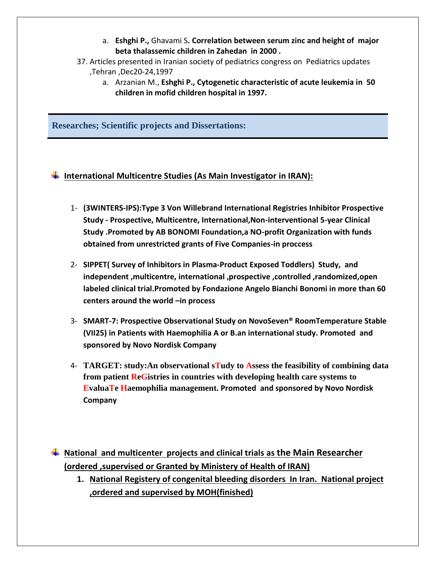- a. **Eshghi P.,** Ghavami S**. Correlation between serum zinc and height of major beta thalassemic children in Zahedan in 2000 .**
- 37. Articles presented in Iranian society of pediatrics congress on Pediatrics updates ,Tehran ,Dec20-24,1997
	- a. Arzanian M., **Eshghi P., Cytogenetic characteristic of acute leukemia in 50 children in mofid children hospital in 1997.**

**Researches; Scientific projects and Dissertations:**

### **International Multicentre Studies (As Main Investigator in IRAN):**

- 1- **(3WINTERS-IPS):Type 3 Von Willebrand International Registries Inhibitor Prospective Study - Prospective, Multicentre, International,Non-interventional 5-year Clinical Study .Promoted by AB BONOMI Foundation,a NO-profit Organization with funds obtained from unrestricted grants of Five Companies-in proccess**
- 2- **SIPPET( Survey of Inhibitors in Plasma-Product Exposed Toddlers) Study, and independent ,multicentre, international ,prospective ,controlled ,randomized,open labeled clinical trial.Promoted by Fondazione Angelo Bianchi Bonomi in more than 60 centers around the world –in process**
- 3- **SMART-7: Prospective Observational Study on NovoSeven® RoomTemperature Stable (VII25) in Patients with Haemophilia A or B.an international study. Promoted and sponsored by Novo Nordisk Company**
- 4- **TARGET: study:An observational sTudy to Assess the feasibility of combining data from patient ReGistries in countries with developing health care systems to EvaluaTe Haemophilia management. Promoted and sponsored by Novo Nordisk Company**

**National and multicenter projects and clinical trials as the Main Researcher (ordered ,supervised or Granted by Ministery of Health of IRAN)**

**1. National Registery of congenital bleeding disorders In Iran. National project ,ordered and supervised by MOH(finished)**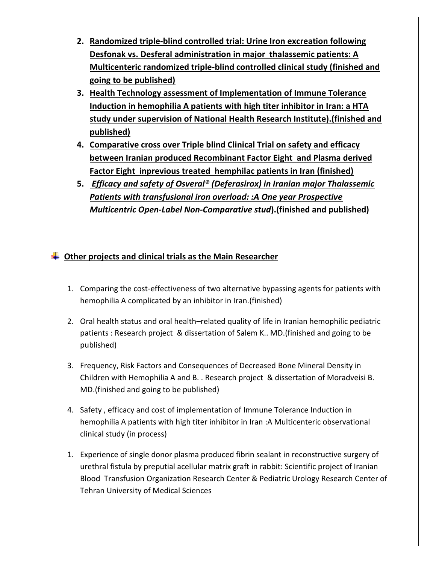- **2. Randomized triple-blind controlled trial: Urine Iron excreation following Desfonak vs. Desferal administration in major thalassemic patients: A Multicenteric randomized triple-blind controlled clinical study (finished and going to be published)**
- **3. Health Technology assessment of Implementation of Immune Tolerance Induction in hemophilia A patients with high titer inhibitor in Iran: a HTA study under supervision of National Health Research Institute).(finished and published)**
- **4. Comparative cross over Triple blind Clinical Trial on safety and efficacy between Iranian produced Recombinant Factor Eight and Plasma derived Factor Eight inprevious treated hemphilac patients in Iran (finished)**
- **5.** *Efficacy and safety of Osveral® (Deferasirox) in Iranian major Thalassemic Patients with transfusional iron overload: :A One year Prospective Multicentric Open-Label Non-Comparative stud***).(finished and published)**

# **Other projects and clinical trials as the Main Researcher**

- 1. Comparing the cost-effectiveness of two alternative bypassing agents for patients with hemophilia A complicated by an inhibitor in Iran.(finished)
- 2. Oral health status and oral health–related quality of life in Iranian hemophilic pediatric patients : Research project & dissertation of Salem K.. MD.(finished and going to be published)
- 3. Frequency, Risk Factors and Consequences of Decreased Bone Mineral Density in Children with Hemophilia A and B. . Research project & dissertation of Moradveisi B. MD.(finished and going to be published)
- 4. Safety , efficacy and cost of implementation of Immune Tolerance Induction in hemophilia A patients with high titer inhibitor in Iran :A Multicenteric observational clinical study (in process)
- 1. Experience of single donor plasma produced fibrin sealant in reconstructive surgery of urethral fistula by preputial acellular matrix graft in rabbit: Scientific project of Iranian Blood Transfusion Organization Research Center & Pediatric Urology Research Center of Tehran University of Medical Sciences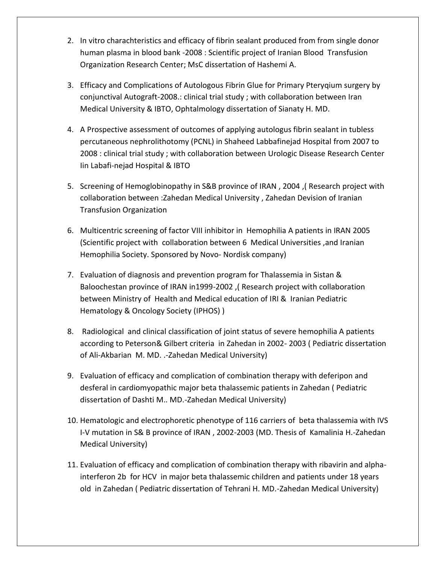- 2. In vitro charachteristics and efficacy of fibrin sealant produced from from single donor human plasma in blood bank -2008 : Scientific project of Iranian Blood Transfusion Organization Research Center; MsC dissertation of Hashemi A.
- 3. Efficacy and Complications of Autologous Fibrin Glue for Primary Pteryqium surgery by conjunctival Autograft-2008.: clinical trial study ; with collaboration between Iran Medical University & IBTO, Ophtalmology dissertation of Sianaty H. MD.
- 4. A Prospective assessment of outcomes of applying autologus fibrin sealant in tubless percutaneous nephrolithotomy (PCNL) in Shaheed Labbafinejad Hospital from 2007 to 2008 : clinical trial study ; with collaboration between Urologic Disease Research Center Iin Labafi-nejad Hospital & IBTO
- 5. Screening of Hemoglobinopathy in S&B province of IRAN , 2004 ,( Research project with collaboration between :Zahedan Medical University , Zahedan Devision of Iranian Transfusion Organization
- 6. Multicentric screening of factor VIII inhibitor in Hemophilia A patients in IRAN 2005 (Scientific project with collaboration between 6 Medical Universities ,and Iranian Hemophilia Society. Sponsored by Novo- Nordisk company)
- 7. Evaluation of diagnosis and prevention program for Thalassemia in Sistan & Baloochestan province of IRAN in1999-2002 ,( Research project with collaboration between Ministry of Health and Medical education of IRI & Iranian Pediatric Hematology & Oncology Society (IPHOS) )
- 8. Radiological and clinical classification of joint status of severe hemophilia A patients according to Peterson& Gilbert criteria in Zahedan in 2002- 2003 ( Pediatric dissertation of Ali-Akbarian M. MD. .-Zahedan Medical University)
- 9. Evaluation of efficacy and complication of combination therapy with deferipon and desferal in cardiomyopathic major beta thalassemic patients in Zahedan ( Pediatric dissertation of Dashti M.. MD.-Zahedan Medical University)
- 10. Hematologic and electrophoretic phenotype of 116 carriers of beta thalassemia with IVS I-V mutation in S& B province of IRAN , 2002-2003 (MD. Thesis of Kamalinia H.-Zahedan Medical University)
- 11. Evaluation of efficacy and complication of combination therapy with ribavirin and alphainterferon 2b for HCV in major beta thalassemic children and patients under 18 years old in Zahedan ( Pediatric dissertation of Tehrani H. MD.-Zahedan Medical University)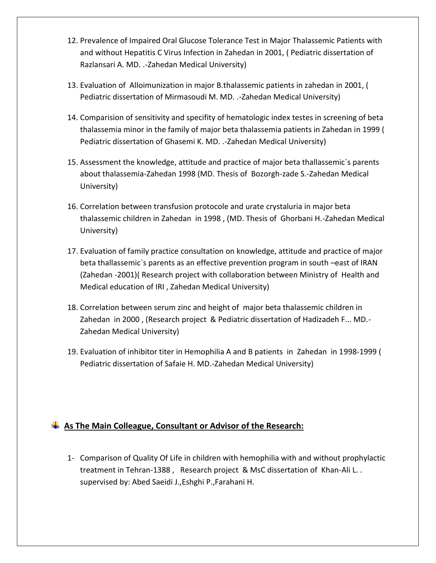- 12. Prevalence of Impaired Oral Glucose Tolerance Test in Major Thalassemic Patients with and without Hepatitis C Virus Infection in Zahedan in 2001, ( Pediatric dissertation of Razlansari A. MD. .-Zahedan Medical University)
- 13. Evaluation of Alloimunization in major B.thalassemic patients in zahedan in 2001, ( Pediatric dissertation of Mirmasoudi M. MD. .-Zahedan Medical University)
- 14. Comparision of sensitivity and specifity of hematologic index testes in screening of beta thalassemia minor in the family of major beta thalassemia patients in Zahedan in 1999 ( Pediatric dissertation of Ghasemi K. MD. .-Zahedan Medical University)
- 15. Assessment the knowledge, attitude and practice of major beta thallassemic`s parents about thalassemia-Zahedan 1998 (MD. Thesis of Bozorgh-zade S.-Zahedan Medical University)
- 16. Correlation between transfusion protocole and urate crystaluria in major beta thalassemic children in Zahedan in 1998 , (MD. Thesis of Ghorbani H.-Zahedan Medical University)
- 17. Evaluation of family practice consultation on knowledge, attitude and practice of major beta thallassemic`s parents as an effective prevention program in south –east of IRAN (Zahedan -2001)( Research project with collaboration between Ministry of Health and Medical education of IRI , Zahedan Medical University)
- 18. Correlation between serum zinc and height of major beta thalassemic children in Zahedan in 2000 , (Research project & Pediatric dissertation of Hadizadeh F... MD.- Zahedan Medical University)
- 19. Evaluation of inhibitor titer in Hemophilia A and B patients in Zahedan in 1998-1999 ( Pediatric dissertation of Safaie H. MD.-Zahedan Medical University)

### **As The Main Colleague, Consultant or Advisor of the Research:**

1- Comparison of Quality Of Life in children with hemophilia with and without prophylactic treatment in Tehran-1388 , Research project & MsC dissertation of Khan-Ali L. . supervised by: Abed Saeidi J.,Eshghi P.,Farahani H.